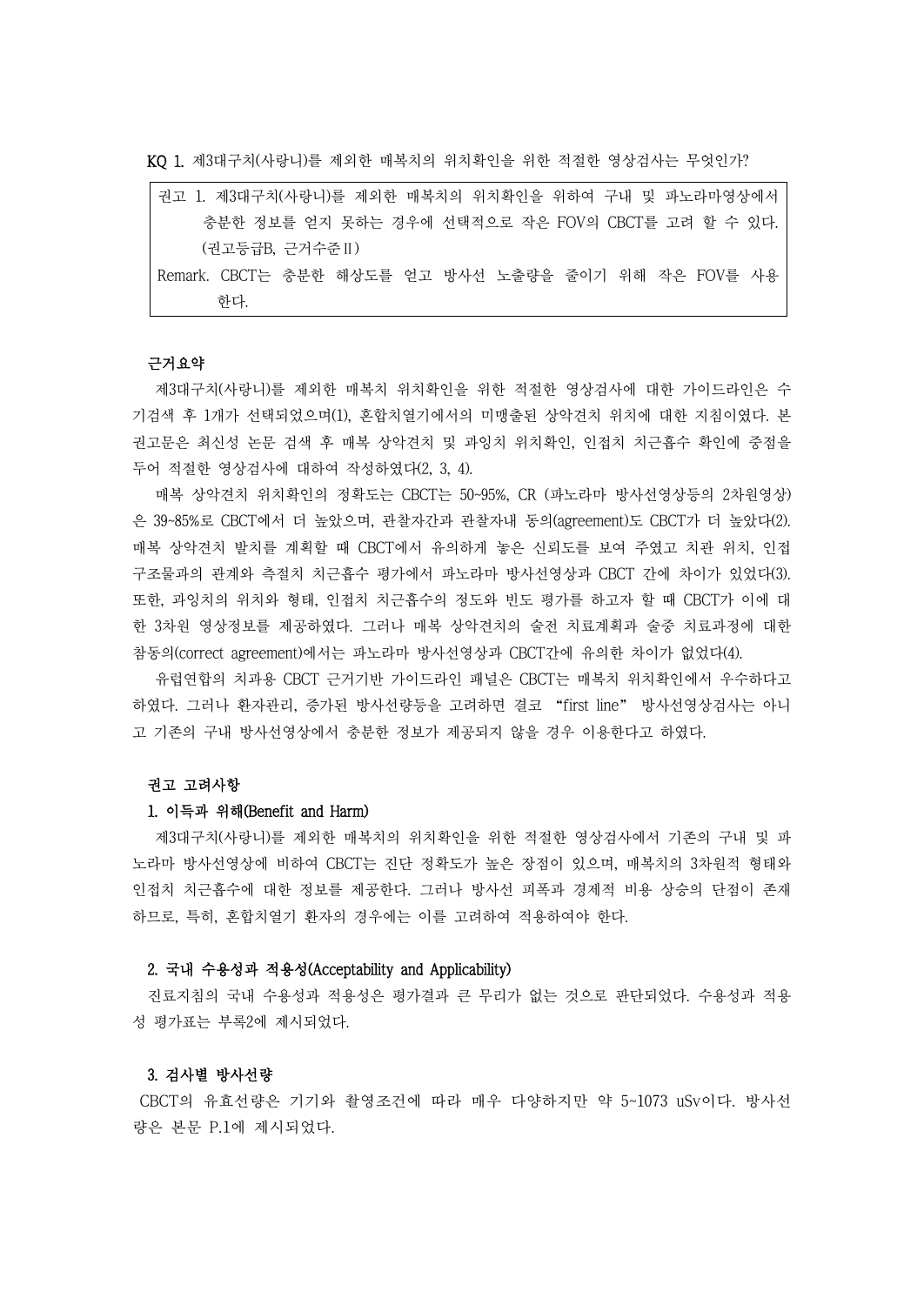KQ 1. 제3대구치(사랑니)를 제외한 매복치의 위치확인을 위한 적절한 영상검사는 무엇인가?

| 권고 1. 제3대구치(사랑니)를 제외한 매복치의 위치확인을 위하여 구내 및 파노라마영상에서   |
|------------------------------------------------------|
| 충분한 정보를 얻지 못하는 경우에 선택적으로 작은 FOV의 CBCT를 고려 할 수 있다.    |
| (권고등급B. 근거수주Ⅱ)                                       |
| Remark. CBCT는 충분한 해상도를 얻고 방사선 노출량을 줄이기 위해 작은 FOV를 사용 |
| 하다                                                   |

## 근거요약

제3대구치(사랑니)를 제외한 매복치 위치확인을 위한 적절한 영상검사에 대한 가이드라인은 수 기검색 후 1개가 선택되었으며(1), 혼합치열기에서의 미맹출된 상악견치 위치에 대한 지침이였다. 본 권고문은 최신성 논문 검색 후 매복 상악견치 및 과잉치 위치확인, 인접치 치근흡수 확인에 중점을 두어 적절한 영상검사에 대하여 작성하였다(2, 3, 4).

매복 상악견치 위치확인의 정확도는 CBCT는 50~95%, CR (파노라마 방사선영상등의 2차원영상) 은 39~85%로 CBCT에서 더 높았으며, 관찰자간과 관찰자내 동의(agreement)도 CBCT가 더 높았다(2). 매복 상악견치 발치를 계획할 때 CBCT에서 유의하게 놓은 신뢰도를 보여 주였고 치관 위치, 인접 구조물과의 관계와 측절치 치근흡수 평가에서 파노라마 방사선영상과 CBCT 간에 차이가 있었다(3). 또한, 과잉치의 위치와 형태, 인접치 치근흡수의 정도와 빈도 평가를 하고자 할 때 CBCT가 이에 대 한 3차원 영상정보를 제공하였다. 그러나 매복 상악견치의 술전 치료계획과 술중 치료과정에 대한 참동의(correct agreement)에서는 파노라마 방사선영상과 CBCT간에 유의한 차이가 없었다(4).

유럽연합의 치과용 CBCT 근거기반 가이드라인 패널은 CBCT는 매복치 위치확인에서 우수하다고 하였다. 그러나 환자관리, 증가된 방사선량등을 고려하면 결코 "first line" 방사선영상검사는 아니 고 기존의 구내 방사선영상에서 충분한 정보가 제공되지 않을 경우 이용한다고 하였다.

### 권고 고려사항

## 1. 이득과 위해(Benefit and Harm)

제3대구치(사랑니)를 제외한 매복치의 위치확인을 위한 적절한 영상검사에서 기존의 구내 및 파 노라마 방사선영상에 비하여 CBCT는 진단 정확도가 높은 장점이 있으며, 매복치의 3차원적 형태와 인접치 치근흡수에 대한 정보를 제공한다. 그러나 방사선 피폭과 경제적 비용 상승의 단점이 존재 하므로, 특히, 혼합치열기 환자의 경우에는 이를 고려하여 적용하여야 한다.

#### 2. 국내 수용성과 적용성(Acceptability and Applicability)

진료지침의 국내 수용성과 적용성은 평가결과 큰 무리가 없는 것으로 판단되었다. 수용성과 적용 성 평가표는 부록2에 제시되었다.

#### 3. 검사별 방사선량

CBCT의 유효선량은 기기와 촬영조건에 따라 매우 다양하지만 약 5~1073 uSv이다. 방사선 량은 본문 P.1에 제시되었다.